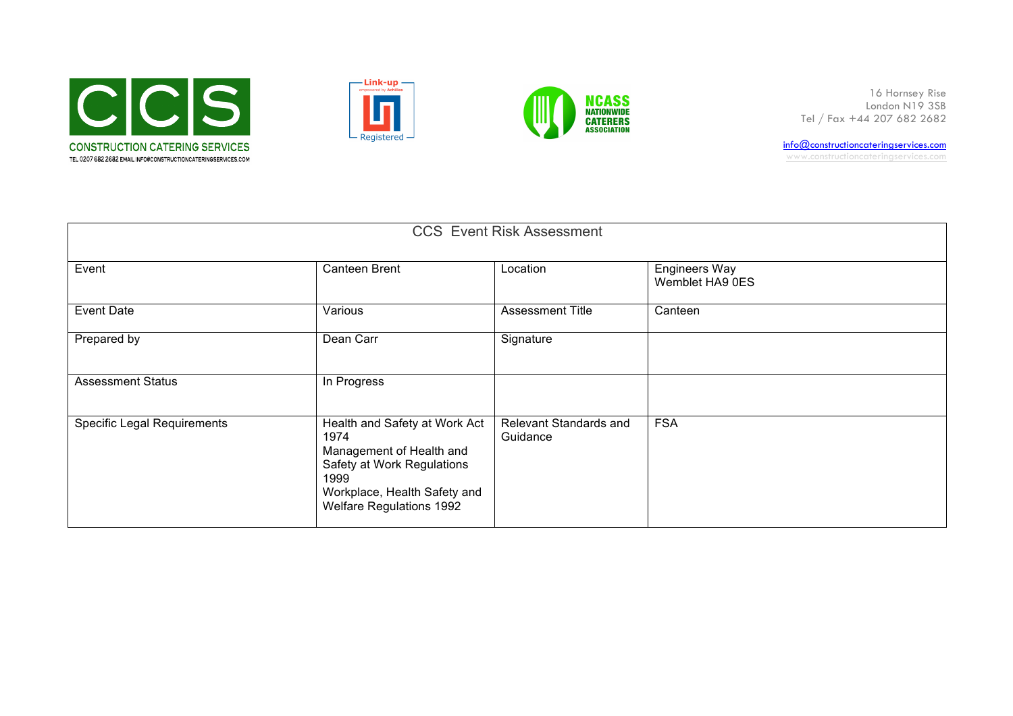





16 Hornsey Rise London N19 3SB Tel / Fax +44 207 682 2682

info@constructioncateringservices.com www.constructioncateringservices.com

| <b>CCS Event Risk Assessment</b>   |                                                                                                                                                                            |                                    |                                         |  |  |  |  |
|------------------------------------|----------------------------------------------------------------------------------------------------------------------------------------------------------------------------|------------------------------------|-----------------------------------------|--|--|--|--|
| Event                              | Canteen Brent                                                                                                                                                              | Location                           | <b>Engineers Way</b><br>Wemblet HA9 0ES |  |  |  |  |
| Event Date                         | Various                                                                                                                                                                    | <b>Assessment Title</b>            | Canteen                                 |  |  |  |  |
| Prepared by                        | Dean Carr                                                                                                                                                                  | Signature                          |                                         |  |  |  |  |
| <b>Assessment Status</b>           | In Progress                                                                                                                                                                |                                    |                                         |  |  |  |  |
| <b>Specific Legal Requirements</b> | Health and Safety at Work Act<br>1974<br>Management of Health and<br>Safety at Work Regulations<br>1999<br>Workplace, Health Safety and<br><b>Welfare Regulations 1992</b> | Relevant Standards and<br>Guidance | <b>FSA</b>                              |  |  |  |  |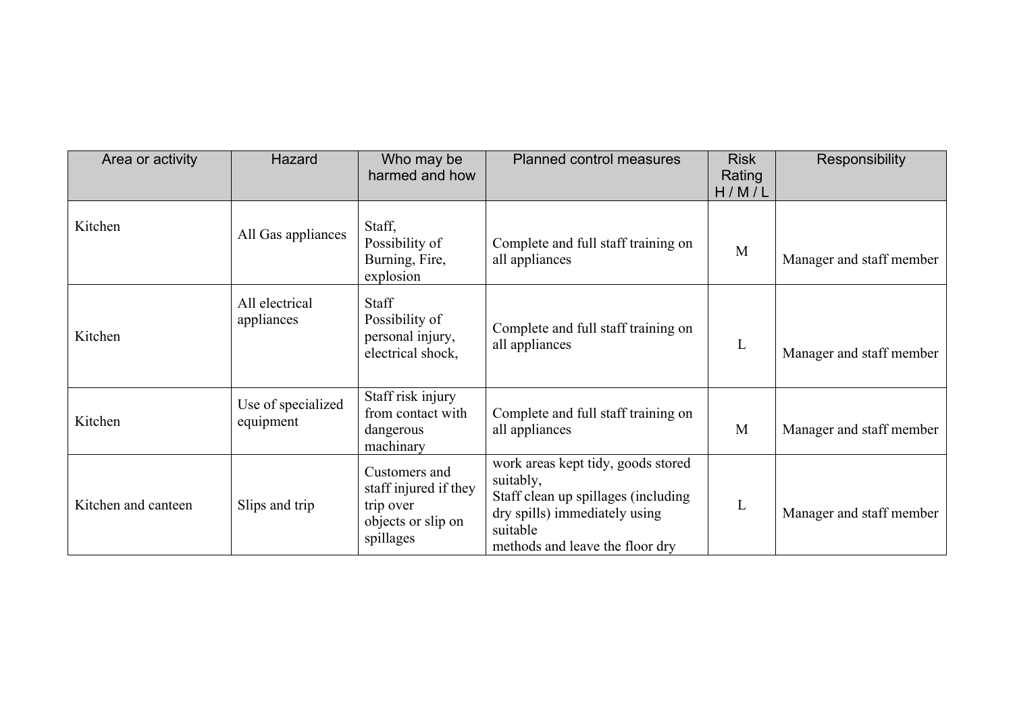| Area or activity    | Hazard                          | Who may be<br>harmed and how                                                           | <b>Planned control measures</b>                                                                                                                                        | <b>Risk</b><br>Rating<br>H/M/L | Responsibility           |
|---------------------|---------------------------------|----------------------------------------------------------------------------------------|------------------------------------------------------------------------------------------------------------------------------------------------------------------------|--------------------------------|--------------------------|
| Kitchen             | All Gas appliances              | Staff,<br>Possibility of<br>Burning, Fire,<br>explosion                                | Complete and full staff training on<br>all appliances                                                                                                                  | M                              | Manager and staff member |
| Kitchen             | All electrical<br>appliances    | <b>Staff</b><br>Possibility of<br>personal injury,<br>electrical shock,                | Complete and full staff training on<br>all appliances                                                                                                                  | L                              | Manager and staff member |
| Kitchen             | Use of specialized<br>equipment | Staff risk injury<br>from contact with<br>dangerous<br>machinary                       | Complete and full staff training on<br>all appliances                                                                                                                  | M                              | Manager and staff member |
| Kitchen and canteen | Slips and trip                  | Customers and<br>staff injured if they<br>trip over<br>objects or slip on<br>spillages | work areas kept tidy, goods stored<br>suitably,<br>Staff clean up spillages (including<br>dry spills) immediately using<br>suitable<br>methods and leave the floor dry | L                              | Manager and staff member |